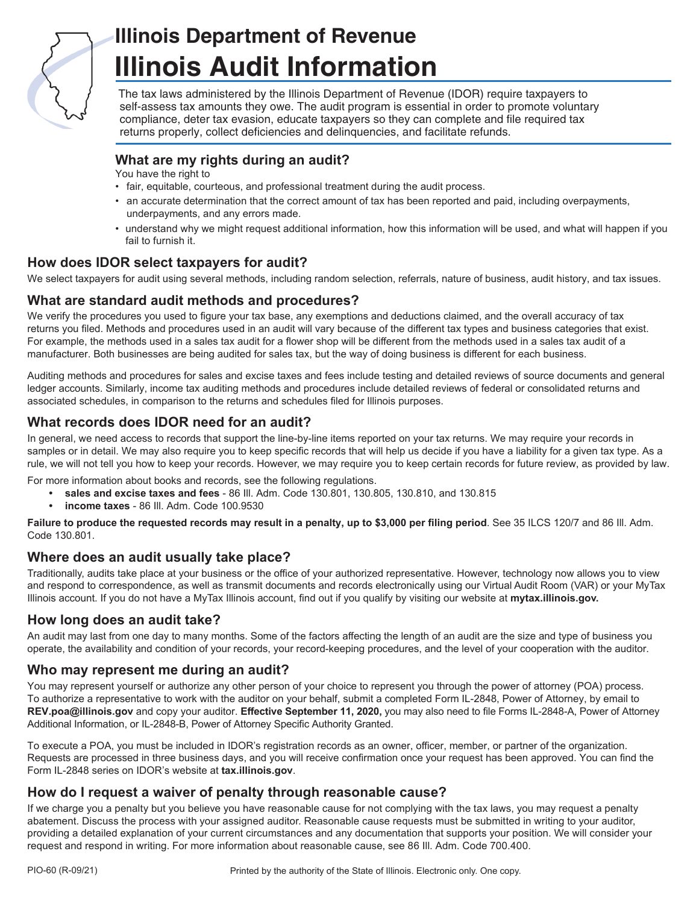

# **Illinois Department of Revenue Illinois Audit Information**

The tax laws administered by the Illinois Department of Revenue (IDOR) require taxpayers to self-assess tax amounts they owe. The audit program is essential in order to promote voluntary compliance, deter tax evasion, educate taxpayers so they can complete and file required tax returns properly, collect deficiencies and delinquencies, and facilitate refunds.

# **What are my rights during an audit?**

You have the right to

- fair, equitable, courteous, and professional treatment during the audit process.
- an accurate determination that the correct amount of tax has been reported and paid, including overpayments, underpayments, and any errors made.
- understand why we might request additional information, how this information will be used, and what will happen if you fail to furnish it.

### **How does IDOR select taxpayers for audit?**

We select taxpayers for audit using several methods, including random selection, referrals, nature of business, audit history, and tax issues.

#### **What are standard audit methods and procedures?**

We verify the procedures you used to figure your tax base, any exemptions and deductions claimed, and the overall accuracy of tax returns you filed. Methods and procedures used in an audit will vary because of the different tax types and business categories that exist. For example, the methods used in a sales tax audit for a flower shop will be different from the methods used in a sales tax audit of a manufacturer. Both businesses are being audited for sales tax, but the way of doing business is different for each business.

Auditing methods and procedures for sales and excise taxes and fees include testing and detailed reviews of source documents and general ledger accounts. Similarly, income tax auditing methods and procedures include detailed reviews of federal or consolidated returns and associated schedules, in comparison to the returns and schedules filed for Illinois purposes.

### **What records does IDOR need for an audit?**

In general, we need access to records that support the line-by-line items reported on your tax returns. We may require your records in samples or in detail. We may also require you to keep specific records that will help us decide if you have a liability for a given tax type. As a rule, we will not tell you how to keep your records. However, we may require you to keep certain records for future review, as provided by law.

For more information about books and records, see the following regulations.

- **• sales and excise taxes and fees** 86 Ill. Adm. Code 130.801, 130.805, 130.810, and 130.815
- **• income taxes** 86 Ill. Adm. Code 100.9530

**Failure to produce the requested records may result in a penalty, up to \$3,000 per filing period**. See 35 ILCS 120/7 and 86 Ill. Adm. Code 130.801.

#### **Where does an audit usually take place?**

Traditionally, audits take place at your business or the office of your authorized representative. However, technology now allows you to view and respond to correspondence, as well as transmit documents and records electronically using our Virtual Audit Room (VAR) or your MyTax Illinois account. If you do not have a MyTax Illinois account, find out if you qualify by visiting our website at **mytax.illinois.gov.**

### **How long does an audit take?**

An audit may last from one day to many months. Some of the factors affecting the length of an audit are the size and type of business you operate, the availability and condition of your records, your record-keeping procedures, and the level of your cooperation with the auditor.

#### **Who may represent me during an audit?**

You may represent yourself or authorize any other person of your choice to represent you through the power of attorney (POA) process. To authorize a representative to work with the auditor on your behalf, submit a completed Form IL-2848, Power of Attorney, by email to **REV.poa@illinois.gov** and copy your auditor. **Effective September 11, 2020,** you may also need to file Forms IL-2848-A, Power of Attorney Additional Information, or IL-2848-B, Power of Attorney Specific Authority Granted.

To execute a POA, you must be included in IDOR's registration records as an owner, officer, member, or partner of the organization. Requests are processed in three business days, and you will receive confirmation once your request has been approved. You can find the Form IL-2848 series on IDOR's website at **tax.illinois.gov**.

#### **How do I request a waiver of penalty through reasonable cause?**

If we charge you a penalty but you believe you have reasonable cause for not complying with the tax laws, you may request a penalty abatement. Discuss the process with your assigned auditor. Reasonable cause requests must be submitted in writing to your auditor, providing a detailed explanation of your current circumstances and any documentation that supports your position. We will consider your request and respond in writing. For more information about reasonable cause, see 86 Ill. Adm. Code 700.400.